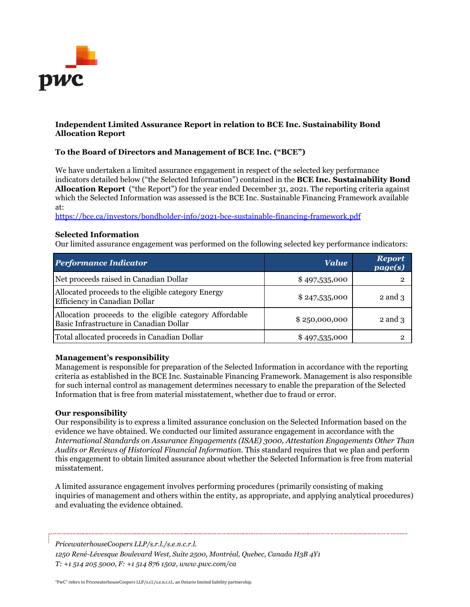

## **Independent Limited Assurance Report in relation to BCE Inc. Sustainability Bond Allocation Report**

## **To the Board of Directors and Management of BCE Inc. ("BCE")**

We have undertaken a limited assurance engagement in respect of the selected key performance indicators detailed below ("the Selected Information") contained in the **BCE Inc. Sustainability Bond Allocation Report** ("the Report") for the year ended December 31, 2021. The reporting criteria against which the Selected Information was assessed is the BCE Inc. Sustainable Financing Framework available at:

<https://bce.ca/investors/bondholder-info/2021-bce-sustainable-financing-framework.pdf>

#### **Selected Information**

Our limited assurance engagement was performed on the following selected key performance indicators:

| <b>Performance Indicator</b>                                                                       | <b>Value</b>   | <b>Report</b><br>page(s) |
|----------------------------------------------------------------------------------------------------|----------------|--------------------------|
| Net proceeds raised in Canadian Dollar                                                             | \$497,535,000  |                          |
| Allocated proceeds to the eligible category Energy<br>Efficiency in Canadian Dollar                | \$247,535,000  | $2$ and $3$              |
| Allocation proceeds to the eligible category Affordable<br>Basic Infrastructure in Canadian Dollar | \$2,50,000,000 | $2$ and $3$              |
| Total allocated proceeds in Canadian Dollar                                                        | \$497,535,000  |                          |

#### **Management's responsibility**

Management is responsible for preparation of the Selected Information in accordance with the reporting criteria as established in the BCE Inc. Sustainable Financing Framework. Management is also responsible for such internal control as management determines necessary to enable the preparation of the Selected Information that is free from material misstatement, whether due to fraud or error.

#### **Our responsibility**

Our responsibility is to express a limited assurance conclusion on the Selected Information based on the evidence we have obtained. We conducted our limited assurance engagement in accordance with the *International Standards on Assurance Engagements (ISAE) 3000, Attestation Engagements Other Than Audits or Reviews of Historical Financial Information.* This standard requires that we plan and perform this engagement to obtain limited assurance about whether the Selected Information is free from material misstatement.

A limited assurance engagement involves performing procedures (primarily consisting of making inquiries of management and others within the entity, as appropriate, and applying analytical procedures) and evaluating the evidence obtained.

*PricewaterhouseCoopers LLP/s.r.l./s.e.n.c.r.l.*

*1250 René-Lévesque Boulevard West, Suite 2500, Montréal, Quebec, Canada H3B 4Y1 T: +1 514 205 5000, F: +1 514 876 1502, www.pwc.com/ca*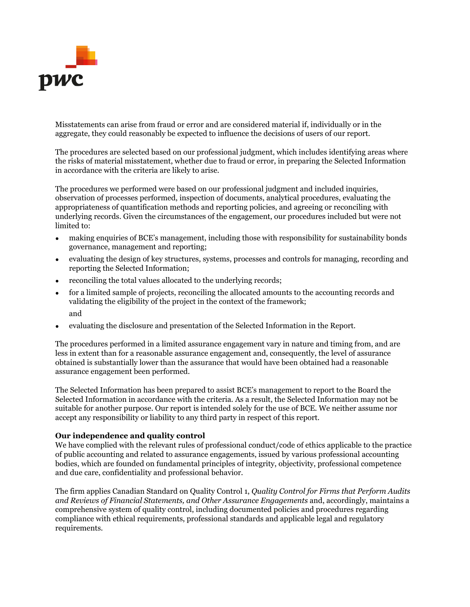

Misstatements can arise from fraud or error and are considered material if, individually or in the aggregate, they could reasonably be expected to influence the decisions of users of our report.

The procedures are selected based on our professional judgment, which includes identifying areas where the risks of material misstatement, whether due to fraud or error, in preparing the Selected Information in accordance with the criteria are likely to arise.

The procedures we performed were based on our professional judgment and included inquiries, observation of processes performed, inspection of documents, analytical procedures, evaluating the appropriateness of quantification methods and reporting policies, and agreeing or reconciling with underlying records. Given the circumstances of the engagement, our procedures included but were not limited to:

- making enquiries of BCE's management, including those with responsibility for sustainability bonds governance, management and reporting;
- evaluating the design of key structures, systems, processes and controls for managing, recording and reporting the Selected Information;
- reconciling the total values allocated to the underlying records;
- for a limited sample of projects, reconciling the allocated amounts to the accounting records and validating the eligibility of the project in the context of the framework; and
- evaluating the disclosure and presentation of the Selected Information in the Report.

The procedures performed in a limited assurance engagement vary in nature and timing from, and are less in extent than for a reasonable assurance engagement and, consequently, the level of assurance obtained is substantially lower than the assurance that would have been obtained had a reasonable assurance engagement been performed.

The Selected Information has been prepared to assist BCE's management to report to the Board the Selected Information in accordance with the criteria. As a result, the Selected Information may not be suitable for another purpose. Our report is intended solely for the use of BCE. We neither assume nor accept any responsibility or liability to any third party in respect of this report.

## **Our independence and quality control**

We have complied with the relevant rules of professional conduct/code of ethics applicable to the practice of public accounting and related to assurance engagements, issued by various professional accounting bodies, which are founded on fundamental principles of integrity, objectivity, professional competence and due care, confidentiality and professional behavior.

The firm applies Canadian Standard on Quality Control 1, *Quality Control for Firms that Perform Audits and Reviews of Financial Statements, and Other Assurance Engagements* and, accordingly, maintains a comprehensive system of quality control, including documented policies and procedures regarding compliance with ethical requirements, professional standards and applicable legal and regulatory requirements.